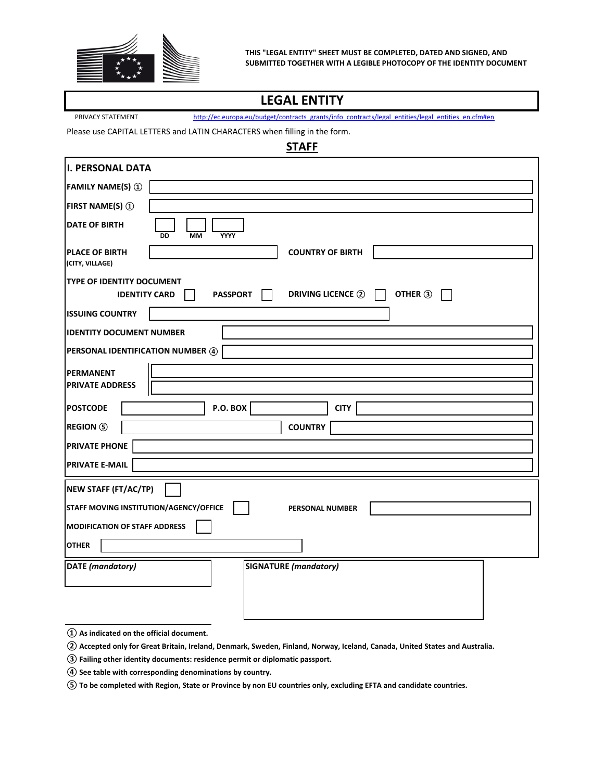

## **LEGAL ENTITY**

PRIVACY STATEMENT http://ec.europa.eu/budget/contracts\_grants/info\_contracts/legal\_entities/legal\_entities\_en.cfm#en\_

Please use CAPITAL LETTERS and LATIN CHARACTERS when filling in the form.

## **STAFF**

| I. PERSONAL DATA                                                                                            |  |  |
|-------------------------------------------------------------------------------------------------------------|--|--|
| <b>FAMILY NAME(S) 1</b>                                                                                     |  |  |
| <b>FIRST NAME(S) 1</b>                                                                                      |  |  |
| <b>DATE OF BIRTH</b><br><b>DD</b><br><b>MM</b><br>YYYY                                                      |  |  |
| <b>COUNTRY OF BIRTH</b><br><b>PLACE OF BIRTH</b><br>(CITY, VILLAGE)                                         |  |  |
| TYPE OF IDENTITY DOCUMENT<br>OTHER 3<br><b>DRIVING LICENCE 2</b><br><b>PASSPORT</b><br><b>IDENTITY CARD</b> |  |  |
| <b>ISSUING COUNTRY</b>                                                                                      |  |  |
| <b>IDENTITY DOCUMENT NUMBER</b>                                                                             |  |  |
| PERSONAL IDENTIFICATION NUMBER 4                                                                            |  |  |
| <b>PERMANENT</b><br><b>PRIVATE ADDRESS</b>                                                                  |  |  |
| P.O. BOX<br><b>POSTCODE</b><br><b>CITY</b>                                                                  |  |  |
| <b>REGION</b> 5<br><b>COUNTRY</b>                                                                           |  |  |
| <b>PRIVATE PHONE</b>                                                                                        |  |  |
| <b>PRIVATE E-MAIL</b>                                                                                       |  |  |
| NEW STAFF (FT/AC/TP)                                                                                        |  |  |
| STAFF MOVING INSTITUTION/AGENCY/OFFICE<br><b>PERSONAL NUMBER</b>                                            |  |  |
| <b>MODIFICATION OF STAFF ADDRESS</b>                                                                        |  |  |
| <b>OTHER</b>                                                                                                |  |  |
| <b>DATE</b> (mandatory)<br><b>SIGNATURE</b> (mandatory)                                                     |  |  |
|                                                                                                             |  |  |
|                                                                                                             |  |  |

**① As indicated on the official document.**

**② Accepted only for Great Britain, Ireland, Denmark, Sweden, Finland, Norway, Iceland, Canada, United States and Australia.**

**③ Failing other identity documents: residence permit or diplomatic passport.**

**④ See table with corresponding denominations by country.**

**⑤ To be completed with Region, State or Province by non EU countries only, excluding EFTA and candidate countries.**